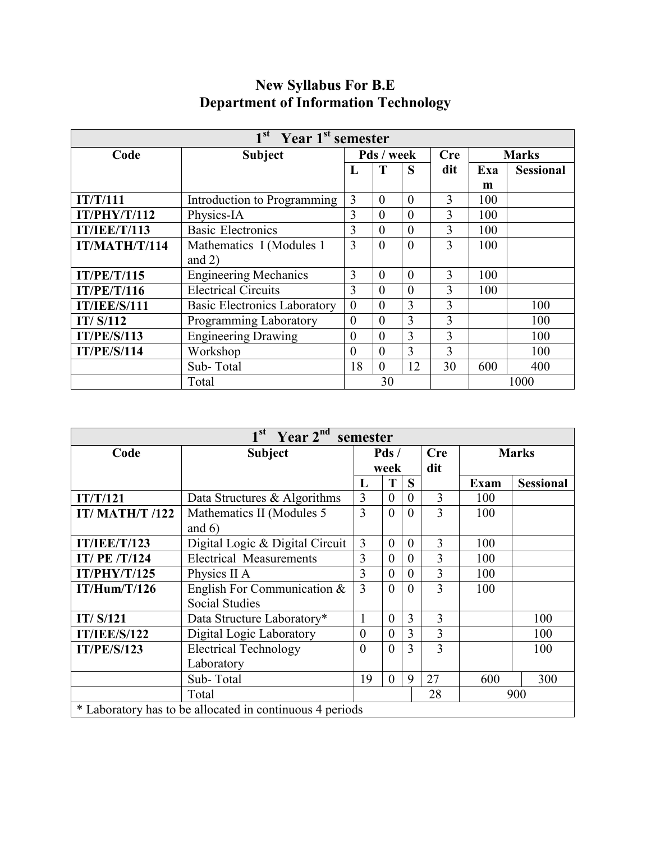| $1st$ Year 1 <sup>st</sup> semester |                                     |                |                |          |            |              |                  |  |  |
|-------------------------------------|-------------------------------------|----------------|----------------|----------|------------|--------------|------------------|--|--|
| Code                                | Subject                             | Pds / week     |                |          | <b>Cre</b> | <b>Marks</b> |                  |  |  |
|                                     |                                     | L              | T              | S        | dit        | Exa          | <b>Sessional</b> |  |  |
|                                     |                                     |                |                |          |            | m            |                  |  |  |
| IT/T/111                            | Introduction to Programming         | 3              | $\overline{0}$ | $\theta$ | 3          | 100          |                  |  |  |
| IT/PHY/T/112                        | Physics-IA                          | 3              | $\theta$       | $\theta$ | 3          | 100          |                  |  |  |
| <b>IT/IEE/T/113</b>                 | <b>Basic Electronics</b>            | 3              | $\theta$       | $\theta$ | 3          | 100          |                  |  |  |
| IT/MATH/T/114                       | Mathematics I (Modules 1)           | 3              | $\overline{0}$ | $\theta$ | 3          | 100          |                  |  |  |
|                                     | and $2)$                            |                |                |          |            |              |                  |  |  |
| <b>IT/PE/T/115</b>                  | <b>Engineering Mechanics</b>        | 3              | $\theta$       | $\theta$ | 3          | 100          |                  |  |  |
| <b>IT/PE/T/116</b>                  | <b>Electrical Circuits</b>          | 3              | $\theta$       | $\theta$ | 3          | 100          |                  |  |  |
| <b>IT/IEE/S/111</b>                 | <b>Basic Electronics Laboratory</b> | $\overline{0}$ | $\overline{0}$ | 3        | 3          |              | 100              |  |  |
| IT/S/112                            | Programming Laboratory              | $\theta$       | $\overline{0}$ | 3        | 3          |              | 100              |  |  |
| <b>IT/PE/S/113</b>                  | <b>Engineering Drawing</b>          | $\overline{0}$ | $\theta$       | 3        | 3          |              | 100              |  |  |
| <b>IT/PE/S/114</b>                  | Workshop                            | $\theta$       | $\theta$       | 3        | 3          |              | 100              |  |  |
|                                     | Sub-Total                           | 18             | $\theta$       | 12       | 30         | 600          | 400              |  |  |
|                                     | Total                               |                | 30             |          |            | 1000         |                  |  |  |

## **New Syllabus For B.E Department of Information Technology**

| $1st$ Year $2nd$ semester |                                                          |                |                |                |            |             |                  |  |  |
|---------------------------|----------------------------------------------------------|----------------|----------------|----------------|------------|-------------|------------------|--|--|
| Code                      | <b>Subject</b>                                           | Pds/           |                |                | <b>Cre</b> |             | <b>Marks</b>     |  |  |
|                           |                                                          |                | week           |                | dit        |             |                  |  |  |
|                           |                                                          | L              | T              | S              |            | <b>Exam</b> | <b>Sessional</b> |  |  |
| IT/T/121                  | Data Structures & Algorithms                             | 3              | $\overline{0}$ | $\overline{0}$ | 3          | 100         |                  |  |  |
| <b>IT/MATH/T /122</b>     | Mathematics II (Modules 5)                               | 3              | $\theta$       | $\theta$       | 3          | 100         |                  |  |  |
|                           | and $6)$                                                 |                |                |                |            |             |                  |  |  |
| <b>IT/IEE/T/123</b>       | Digital Logic & Digital Circuit                          | 3              | $\overline{0}$ | $\overline{0}$ | 3          | 100         |                  |  |  |
| <b>IT/PE/T/124</b>        | <b>Electrical Measurements</b>                           | 3              | $\theta$       | $\overline{0}$ | 3          | 100         |                  |  |  |
| IT/PHY/T/125              | Physics II A                                             | 3              | $\theta$       | $\overline{0}$ | 3          | 100         |                  |  |  |
| IT/Hum/T/126              | English For Communication $&$                            | 3              | $\theta$       | $\theta$       | 3          | 100         |                  |  |  |
|                           | <b>Social Studies</b>                                    |                |                |                |            |             |                  |  |  |
| IT/ S/121                 | Data Structure Laboratory*                               | 1              | $\theta$       | 3              | 3          |             | 100              |  |  |
| <b>IT/IEE/S/122</b>       | Digital Logic Laboratory                                 | $\overline{0}$ | $\theta$       | 3              | 3          |             | 100              |  |  |
| <b>IT/PE/S/123</b>        | <b>Electrical Technology</b>                             | $\overline{0}$ | $\theta$       | 3              | 3          |             | 100              |  |  |
|                           | Laboratory                                               |                |                |                |            |             |                  |  |  |
|                           | Sub-Total                                                | 19             | $\theta$       | 9              | 27         | 600         | 300              |  |  |
|                           | Total                                                    | 28<br>900      |                |                |            |             |                  |  |  |
|                           | * Laboratory has to be allocated in continuous 4 periods |                |                |                |            |             |                  |  |  |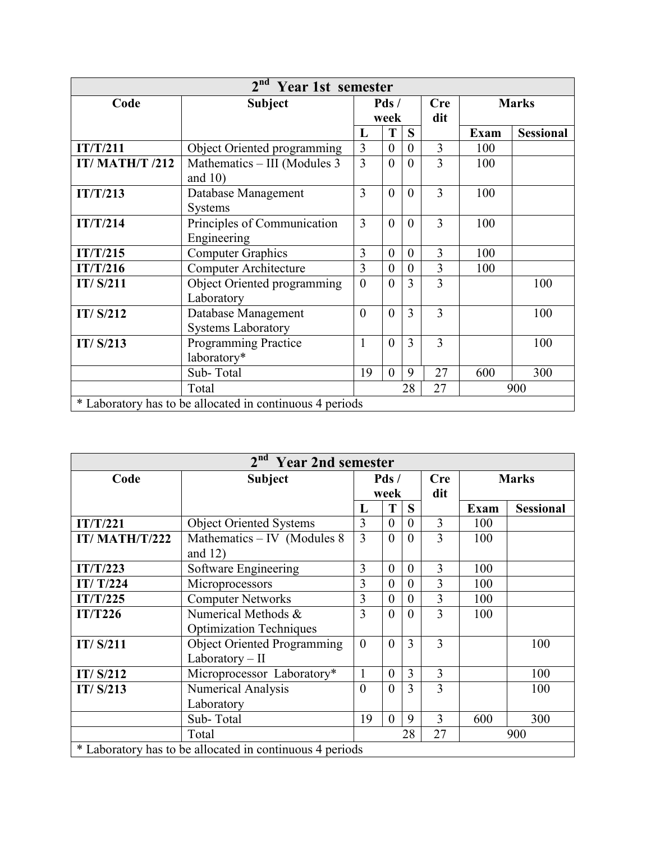| 2 <sup>nd</sup> Year 1st semester |                                                  |                 |                |                                                          |              |      |                  |  |  |  |  |  |
|-----------------------------------|--------------------------------------------------|-----------------|----------------|----------------------------------------------------------|--------------|------|------------------|--|--|--|--|--|
| Code                              | <b>Subject</b>                                   | Pds/            |                | <b>Cre</b>                                               | <b>Marks</b> |      |                  |  |  |  |  |  |
|                                   |                                                  |                 | week           |                                                          | dit          |      |                  |  |  |  |  |  |
|                                   |                                                  | L               | T              | S                                                        |              | Exam | <b>Sessional</b> |  |  |  |  |  |
| IT/T/211                          | Object Oriented programming                      | $\overline{3}$  | $\mathbf{0}$   | $\overline{0}$                                           | 3            | 100  |                  |  |  |  |  |  |
| <b>IT/MATH/T /212</b>             | Mathematics – III (Modules 3)<br>and $10$ )      | 3               | $\overline{0}$ | $\theta$                                                 | 3            | 100  |                  |  |  |  |  |  |
| IT/T/213                          | Database Management<br><b>Systems</b>            | 3               | $\theta$       | $\theta$                                                 | 3            | 100  |                  |  |  |  |  |  |
| IT/T/214                          | Principles of Communication<br>Engineering       | 3               | $\theta$       | $\theta$                                                 | 3            | 100  |                  |  |  |  |  |  |
| IT/T/215                          | <b>Computer Graphics</b>                         | 3               | $\theta$       | $\theta$                                                 | 3            | 100  |                  |  |  |  |  |  |
| IT/T/216                          | <b>Computer Architecture</b>                     | 3               | $\theta$       | $\theta$                                                 | 3            | 100  |                  |  |  |  |  |  |
| IT/ S/211                         | Object Oriented programming<br>Laboratory        | $\theta$        | $\theta$       | 3                                                        | 3            |      | 100              |  |  |  |  |  |
| IT/ S/212                         | Database Management<br><b>Systems Laboratory</b> | $\overline{0}$  | $\overline{0}$ | 3                                                        | 3            |      | 100              |  |  |  |  |  |
| IT/ S/213                         | <b>Programming Practice</b><br>laboratory*       | 1               | $\theta$       | 3                                                        | 3            |      | 100              |  |  |  |  |  |
|                                   | Sub-Total                                        | 19              | $\theta$       | 9                                                        | 27           | 600  | 300              |  |  |  |  |  |
|                                   | Total                                            | 27<br>28<br>900 |                |                                                          |              |      |                  |  |  |  |  |  |
|                                   |                                                  |                 |                | * Laboratory has to be allocated in continuous 4 periods |              |      |                  |  |  |  |  |  |

| 2 <sup>nd</sup> Year 2nd semester |                                                          |          |          |                |            |              |                  |  |  |
|-----------------------------------|----------------------------------------------------------|----------|----------|----------------|------------|--------------|------------------|--|--|
| Code                              | <b>Subject</b>                                           | Pds/     |          |                | <b>Cre</b> | <b>Marks</b> |                  |  |  |
|                                   |                                                          |          | week     |                | dit        |              |                  |  |  |
|                                   |                                                          | L        |          | S              |            | Exam         | <b>Sessional</b> |  |  |
| IT/T/221                          | <b>Object Oriented Systems</b>                           | 3        | $\theta$ | $\theta$       | 3          | 100          |                  |  |  |
| IT/MATH/T/222                     | Mathematics $-$ IV (Modules 8)                           | 3        | $\theta$ | $\theta$       | 3          | 100          |                  |  |  |
|                                   | and $12)$                                                |          |          |                |            |              |                  |  |  |
| IT/T/223                          | Software Engineering                                     | 3        | $\theta$ | $\theta$       | 3          | 100          |                  |  |  |
| IT/T/224                          | Microprocessors                                          | 3        | $\theta$ | $\theta$       | 3          | 100          |                  |  |  |
| IT/T/225                          | <b>Computer Networks</b>                                 | 3        | $\theta$ | $\theta$       | 3          | 100          |                  |  |  |
| <b>IT/T226</b>                    | Numerical Methods &                                      | 3        | $\theta$ | $\theta$       | 3          | 100          |                  |  |  |
|                                   | <b>Optimization Techniques</b>                           |          |          |                |            |              |                  |  |  |
| IT/ S/211                         | <b>Object Oriented Programming</b>                       | $\theta$ | $\theta$ | 3              | 3          |              | 100              |  |  |
|                                   | Laboratory - II                                          |          |          |                |            |              |                  |  |  |
| IT/ S/212                         | Microprocessor Laboratory*                               | 1        | $\theta$ | $\overline{3}$ | 3          |              | 100              |  |  |
| IT/ S/213                         | Numerical Analysis                                       | $\theta$ | $\theta$ | 3              | 3          |              | 100              |  |  |
|                                   | Laboratory                                               |          |          |                |            |              |                  |  |  |
|                                   | Sub-Total                                                | 19       | $\theta$ | 9              | 3          | 600          | 300              |  |  |
|                                   | Total                                                    | 28       |          |                | 27         |              | 900              |  |  |
|                                   | * Laboratory has to be allocated in continuous 4 periods |          |          |                |            |              |                  |  |  |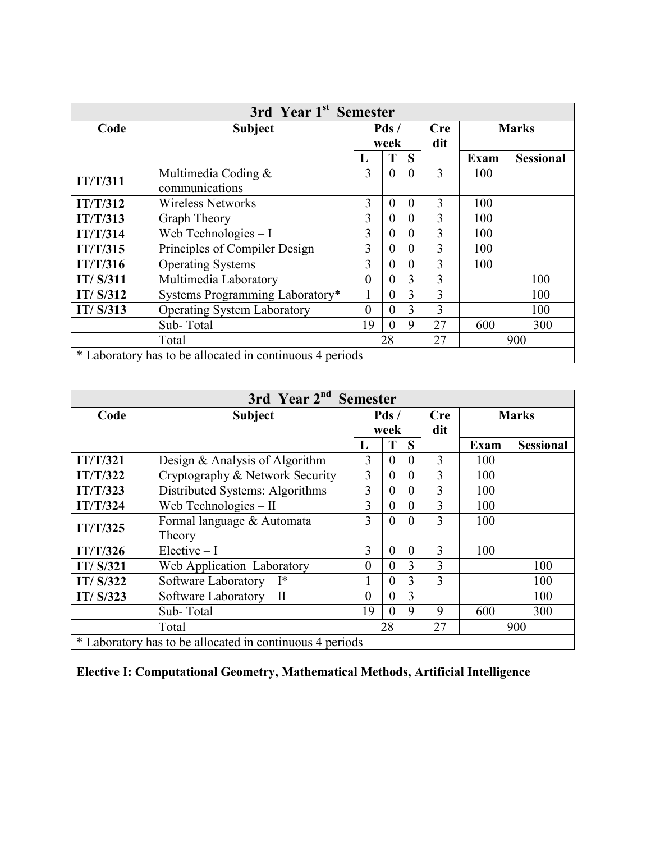| 3rd Year 1st Semester |                                                          |                |                |          |            |              |                  |  |  |
|-----------------------|----------------------------------------------------------|----------------|----------------|----------|------------|--------------|------------------|--|--|
| Code                  | <b>Subject</b>                                           |                | Pds/           |          | <b>Cre</b> | <b>Marks</b> |                  |  |  |
|                       |                                                          |                | week           |          | dit        |              |                  |  |  |
|                       |                                                          | L              |                | S        |            | <b>Exam</b>  | <b>Sessional</b> |  |  |
| IT/T/311              | Multimedia Coding $&$                                    | 3              | $\theta$       | $\theta$ | 3          | 100          |                  |  |  |
|                       | communications                                           |                |                |          |            |              |                  |  |  |
| IT/T/312              | <b>Wireless Networks</b>                                 | 3              | $\theta$       | 0        | 3          | 100          |                  |  |  |
| IT/T/313              | Graph Theory                                             | 3              | $\theta$       | 0        | 3          | 100          |                  |  |  |
| IT/T/314              | Web Technologies - I                                     | 3              | $\theta$       | 0        | 3          | 100          |                  |  |  |
| IT/T/315              | Principles of Compiler Design                            | 3              | $\theta$       | 0        | 3          | 100          |                  |  |  |
| IT/T/316              | <b>Operating Systems</b>                                 | 3              | $\overline{0}$ | $\theta$ | 3          | 100          |                  |  |  |
| IT/ S/311             | Multimedia Laboratory                                    | 0              | $\theta$       | 3        | 3          |              | 100              |  |  |
| IT/ S/312             | Systems Programming Laboratory*                          |                | $\theta$       | 3        | 3          |              | 100              |  |  |
| IT/S/313              | <b>Operating System Laboratory</b>                       | $\overline{0}$ | $\theta$       | 3        | 3          |              | 100              |  |  |
|                       | Sub-Total                                                | 19             | $\theta$       | 9        | 27         | 600          | 300              |  |  |
|                       | Total                                                    | 28             |                | 27       | 900        |              |                  |  |  |
|                       | * Laboratory has to be allocated in continuous 4 periods |                |                |          |            |              |                  |  |  |

| 3rd Year 2 <sup>nd</sup> Semester |                                                          |                  |                |                |                |              |                  |  |  |
|-----------------------------------|----------------------------------------------------------|------------------|----------------|----------------|----------------|--------------|------------------|--|--|
| Code                              | <b>Subject</b>                                           |                  | Pds/           |                | <b>Cre</b>     | <b>Marks</b> |                  |  |  |
|                                   |                                                          |                  | week           |                | dit            |              |                  |  |  |
|                                   |                                                          | L                | T              | S              |                | <b>Exam</b>  | <b>Sessional</b> |  |  |
| IT/T/321                          | Design & Analysis of Algorithm                           | 3                | $\theta$       | $\theta$       | 3              | 100          |                  |  |  |
| IT/T/322                          | Cryptography & Network Security                          | 3                | $\theta$       | 0              | 3              | 100          |                  |  |  |
| IT/T/323                          | Distributed Systems: Algorithms                          | 3                | $\theta$       | 0              | $\overline{3}$ | 100          |                  |  |  |
| IT/T/324                          | Web Technologies - II                                    | 3                | $\theta$       | $\theta$       | 3              | 100          |                  |  |  |
| IT/T/325                          | Formal language & Automata                               | 3                | $\theta$       | $\theta$       | 3              | 100          |                  |  |  |
|                                   | Theory                                                   |                  |                |                |                |              |                  |  |  |
| IT/T/326                          | $Electric - I$                                           | 3                | $\theta$       | $\theta$       | 3              | 100          |                  |  |  |
| IT/ S/321                         | Web Application Laboratory                               | $\overline{0}$   | $\theta$       | 3              | 3              |              | 100              |  |  |
| IT/ S/322                         | Software Laboratory $-I^*$                               | 1                | $\overline{0}$ | 3              | 3              |              | 100              |  |  |
| IT/S/323                          | Software Laboratory - II                                 | $\boldsymbol{0}$ | $\theta$       | $\overline{3}$ |                |              | 100              |  |  |
|                                   | Sub-Total                                                | 19               | $\theta$       | 9              | 9              | 600          | 300              |  |  |
|                                   | Total                                                    |                  | 28             |                | 27             | 900          |                  |  |  |
|                                   | * Laboratory has to be allocated in continuous 4 periods |                  |                |                |                |              |                  |  |  |

## **Elective I: Computational Geometry, Mathematical Methods, Artificial Intelligence**